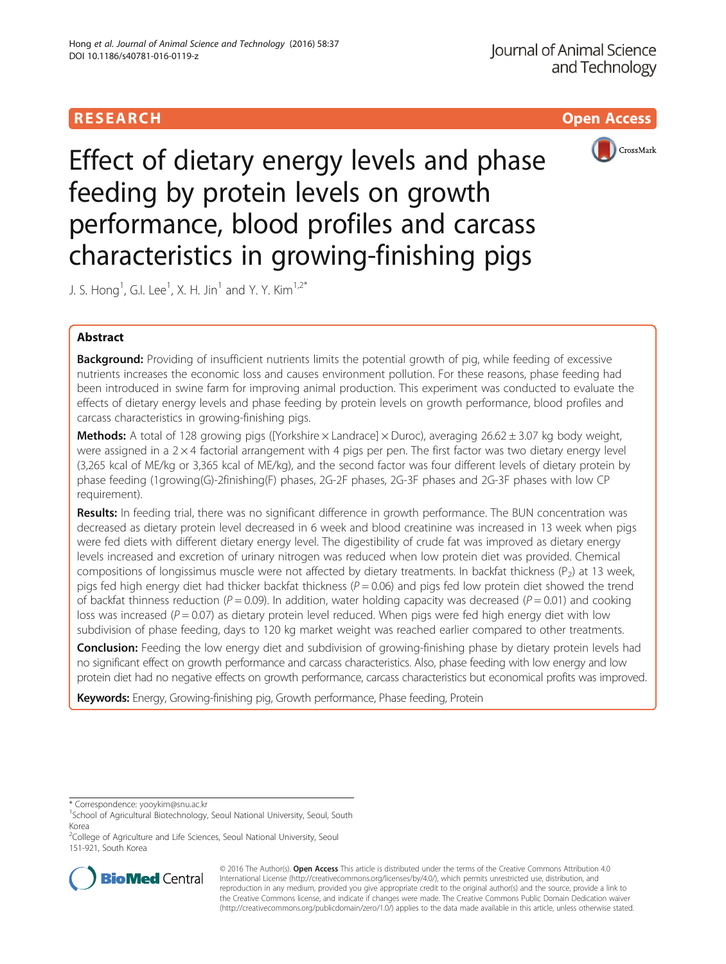# **RESEARCH CHILD CONTROL** CONTROL CONTROL CONTROL CONTROL CONTROL CONTROL CONTROL CONTROL CONTROL CONTROL CONTROL



Effect of dietary energy levels and phase feeding by protein levels on growth performance, blood profiles and carcass characteristics in growing-finishing pigs

J. S. Hong<sup>1</sup>, G.I. Lee<sup>1</sup>, X. H. Jin<sup>1</sup> and Y. Y. Kim<sup>1,2\*</sup>

# Abstract

Background: Providing of insufficient nutrients limits the potential growth of pig, while feeding of excessive nutrients increases the economic loss and causes environment pollution. For these reasons, phase feeding had been introduced in swine farm for improving animal production. This experiment was conducted to evaluate the effects of dietary energy levels and phase feeding by protein levels on growth performance, blood profiles and carcass characteristics in growing-finishing pigs.

**Methods:** A total of 128 growing pigs ([Yorkshire  $\times$  Landrace]  $\times$  Duroc), averaging 26.62  $\pm$  3.07 kg body weight, were assigned in a  $2 \times 4$  factorial arrangement with 4 pigs per pen. The first factor was two dietary energy level (3,265 kcal of ME/kg or 3,365 kcal of ME/kg), and the second factor was four different levels of dietary protein by phase feeding (1growing(G)-2finishing(F) phases, 2G-2F phases, 2G-3F phases and 2G-3F phases with low CP requirement).

Results: In feeding trial, there was no significant difference in growth performance. The BUN concentration was decreased as dietary protein level decreased in 6 week and blood creatinine was increased in 13 week when pigs were fed diets with different dietary energy level. The digestibility of crude fat was improved as dietary energy levels increased and excretion of urinary nitrogen was reduced when low protein diet was provided. Chemical compositions of longissimus muscle were not affected by dietary treatments. In backfat thickness ( $P_2$ ) at 13 week, pigs fed high energy diet had thicker backfat thickness ( $P = 0.06$ ) and pigs fed low protein diet showed the trend of backfat thinness reduction ( $P = 0.09$ ). In addition, water holding capacity was decreased ( $P = 0.01$ ) and cooking loss was increased ( $P = 0.07$ ) as dietary protein level reduced. When pigs were fed high energy diet with low subdivision of phase feeding, days to 120 kg market weight was reached earlier compared to other treatments.

Conclusion: Feeding the low energy diet and subdivision of growing-finishing phase by dietary protein levels had no significant effect on growth performance and carcass characteristics. Also, phase feeding with low energy and low protein diet had no negative effects on growth performance, carcass characteristics but economical profits was improved.

Keywords: Energy, Growing-finishing pig, Growth performance, Phase feeding, Protein

\* Correspondence: [yooykim@snu.ac.kr](mailto:yooykim@snu.ac.kr) <sup>1</sup>

<sup>&</sup>lt;sup>2</sup>College of Agriculture and Life Sciences, Seoul National University, Seoul 151-921, South Korea



© 2016 The Author(s). Open Access This article is distributed under the terms of the Creative Commons Attribution 4.0 International License [\(http://creativecommons.org/licenses/by/4.0/](http://creativecommons.org/licenses/by/4.0/)), which permits unrestricted use, distribution, and reproduction in any medium, provided you give appropriate credit to the original author(s) and the source, provide a link to the Creative Commons license, and indicate if changes were made. The Creative Commons Public Domain Dedication waiver [\(http://creativecommons.org/publicdomain/zero/1.0/](http://creativecommons.org/publicdomain/zero/1.0/)) applies to the data made available in this article, unless otherwise stated.

<sup>&</sup>lt;sup>1</sup>School of Agricultural Biotechnology, Seoul National University, Seoul, South Korea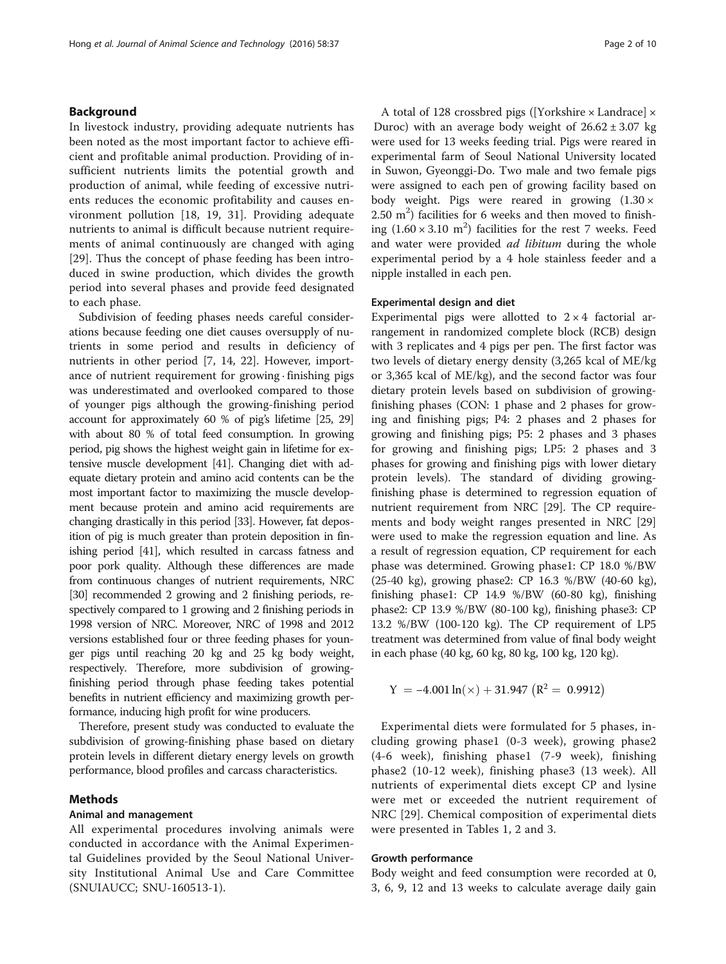## Background

In livestock industry, providing adequate nutrients has been noted as the most important factor to achieve efficient and profitable animal production. Providing of insufficient nutrients limits the potential growth and production of animal, while feeding of excessive nutrients reduces the economic profitability and causes environment pollution [[18, 19](#page-9-0), [31\]](#page-9-0). Providing adequate nutrients to animal is difficult because nutrient requirements of animal continuously are changed with aging [[29\]](#page-9-0). Thus the concept of phase feeding has been introduced in swine production, which divides the growth period into several phases and provide feed designated to each phase.

Subdivision of feeding phases needs careful considerations because feeding one diet causes oversupply of nutrients in some period and results in deficiency of nutrients in other period [[7, 14](#page-9-0), [22](#page-9-0)]. However, importance of nutrient requirement for growing · finishing pigs was underestimated and overlooked compared to those of younger pigs although the growing-finishing period account for approximately 60 % of pig's lifetime [\[25, 29](#page-9-0)] with about 80 % of total feed consumption. In growing period, pig shows the highest weight gain in lifetime for extensive muscle development [\[41\]](#page-9-0). Changing diet with adequate dietary protein and amino acid contents can be the most important factor to maximizing the muscle development because protein and amino acid requirements are changing drastically in this period [\[33](#page-9-0)]. However, fat deposition of pig is much greater than protein deposition in finishing period [\[41\]](#page-9-0), which resulted in carcass fatness and poor pork quality. Although these differences are made from continuous changes of nutrient requirements, NRC [[30](#page-9-0)] recommended 2 growing and 2 finishing periods, respectively compared to 1 growing and 2 finishing periods in 1998 version of NRC. Moreover, NRC of 1998 and 2012 versions established four or three feeding phases for younger pigs until reaching 20 kg and 25 kg body weight, respectively. Therefore, more subdivision of growingfinishing period through phase feeding takes potential benefits in nutrient efficiency and maximizing growth performance, inducing high profit for wine producers.

Therefore, present study was conducted to evaluate the subdivision of growing-finishing phase based on dietary protein levels in different dietary energy levels on growth performance, blood profiles and carcass characteristics.

## Methods

#### Animal and management

All experimental procedures involving animals were conducted in accordance with the Animal Experimental Guidelines provided by the Seoul National University Institutional Animal Use and Care Committee (SNUIAUCC; SNU-160513-1).

A total of 128 crossbred pigs ([Yorkshire × Landrace] × Duroc) with an average body weight of  $26.62 \pm 3.07$  kg were used for 13 weeks feeding trial. Pigs were reared in experimental farm of Seoul National University located in Suwon, Gyeonggi-Do. Two male and two female pigs were assigned to each pen of growing facility based on body weight. Pigs were reared in growing  $(1.30 \times$  $2.50 \text{ m}^2$ ) facilities for 6 weeks and then moved to finishing  $(1.60 \times 3.10 \text{ m}^2)$  facilities for the rest 7 weeks. Feed and water were provided *ad libitum* during the whole experimental period by a 4 hole stainless feeder and a nipple installed in each pen.

## Experimental design and diet

Experimental pigs were allotted to  $2 \times 4$  factorial arrangement in randomized complete block (RCB) design with 3 replicates and 4 pigs per pen. The first factor was two levels of dietary energy density (3,265 kcal of ME/kg or 3,365 kcal of ME/kg), and the second factor was four dietary protein levels based on subdivision of growingfinishing phases (CON: 1 phase and 2 phases for growing and finishing pigs; P4: 2 phases and 2 phases for growing and finishing pigs; P5: 2 phases and 3 phases for growing and finishing pigs; LP5: 2 phases and 3 phases for growing and finishing pigs with lower dietary protein levels). The standard of dividing growingfinishing phase is determined to regression equation of nutrient requirement from NRC [\[29\]](#page-9-0). The CP requirements and body weight ranges presented in NRC [[29](#page-9-0)] were used to make the regression equation and line. As a result of regression equation, CP requirement for each phase was determined. Growing phase1: CP 18.0 %/BW (25-40 kg), growing phase2: CP 16.3 %/BW (40-60 kg), finishing phase1: CP 14.9 %/BW (60-80 kg), finishing phase2: CP 13.9 %/BW (80-100 kg), finishing phase3: CP 13.2 %/BW (100-120 kg). The CP requirement of LP5 treatment was determined from value of final body weight in each phase (40 kg, 60 kg, 80 kg, 100 kg, 120 kg).

$$
Y = -4.001 \ln(\times) + 31.947 \left( R^2 = 0.9912 \right)
$$

Experimental diets were formulated for 5 phases, including growing phase1 (0-3 week), growing phase2 (4-6 week), finishing phase1 (7-9 week), finishing phase2 (10-12 week), finishing phase3 (13 week). All nutrients of experimental diets except CP and lysine were met or exceeded the nutrient requirement of NRC [[29\]](#page-9-0). Chemical composition of experimental diets were presented in Tables [1, 2](#page-2-0) and [3](#page-3-0).

#### Growth performance

Body weight and feed consumption were recorded at 0, 3, 6, 9, 12 and 13 weeks to calculate average daily gain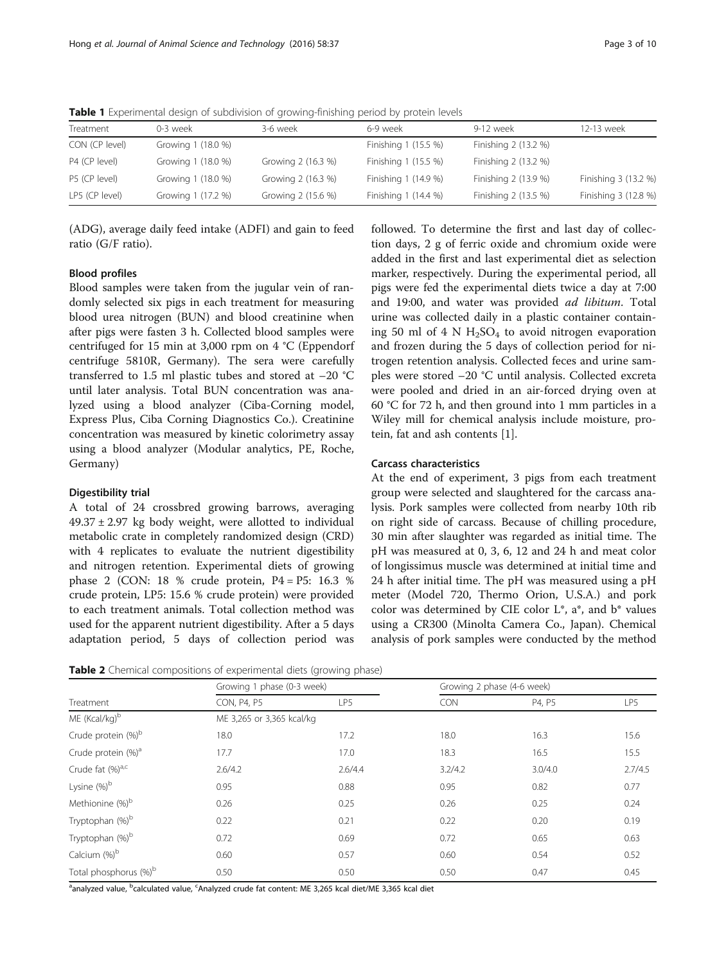| Treatment      | 0-3 week           | 3-6 week           | 6-9 week             | 9-12 week            | 12-13 week           |
|----------------|--------------------|--------------------|----------------------|----------------------|----------------------|
| CON (CP level) | Growing 1 (18.0 %) |                    | Finishing 1 (15.5 %) | Finishing 2 (13.2 %) |                      |
| P4 (CP level)  | Growing 1 (18.0 %) | Growing 2 (16.3 %) | Finishing 1 (15.5 %) | Finishing 2 (13.2 %) |                      |
| P5 (CP level)  | Growing 1 (18.0 %) | Growing 2 (16.3 %) | Finishing 1 (14.9 %) | Finishing 2 (13.9 %) | Finishing 3 (13.2 %) |
| LP5 (CP level) | Growing 1 (17.2 %) | Growing 2 (15.6 %) | Finishing 1 (14.4 %) | Finishing 2 (13.5 %) | Finishing 3 (12.8 %) |

<span id="page-2-0"></span>**Table 1** Experimental design of subdivision of growing-finishing period by protein levels

(ADG), average daily feed intake (ADFI) and gain to feed ratio (G/F ratio).

# Blood profiles

Blood samples were taken from the jugular vein of randomly selected six pigs in each treatment for measuring blood urea nitrogen (BUN) and blood creatinine when after pigs were fasten 3 h. Collected blood samples were centrifuged for 15 min at 3,000 rpm on 4 °C (Eppendorf centrifuge 5810R, Germany). The sera were carefully transferred to 1.5 ml plastic tubes and stored at  $-20$  °C until later analysis. Total BUN concentration was analyzed using a blood analyzer (Ciba-Corning model, Express Plus, Ciba Corning Diagnostics Co.). Creatinine concentration was measured by kinetic colorimetry assay using a blood analyzer (Modular analytics, PE, Roche, Germany)

#### Digestibility trial

A total of 24 crossbred growing barrows, averaging  $49.37 \pm 2.97$  kg body weight, were allotted to individual metabolic crate in completely randomized design (CRD) with 4 replicates to evaluate the nutrient digestibility and nitrogen retention. Experimental diets of growing phase 2 (CON: 18 % crude protein, P4 = P5: 16.3 % crude protein, LP5: 15.6 % crude protein) were provided to each treatment animals. Total collection method was used for the apparent nutrient digestibility. After a 5 days adaptation period, 5 days of collection period was

Table 2 Chemical compositions of experimental diets (growing phase)

|                                   | Growing 1 phase (0-3 week) |         | Growing 2 phase (4-6 week) |         |         |
|-----------------------------------|----------------------------|---------|----------------------------|---------|---------|
| Treatment                         | CON, P4, P5                | LP5     | CON                        | P4, P5  | LP5     |
| ME (Kcal/kg)b                     | ME 3,265 or 3,365 kcal/kg  |         |                            |         |         |
| Crude protein (%) <sup>b</sup>    | 18.0                       | 17.2    | 18.0                       | 16.3    | 15.6    |
| Crude protein (%) <sup>a</sup>    | 17.7                       | 17.0    | 18.3                       | 16.5    | 15.5    |
| Crude fat (%) <sup>a,c</sup>      | 2.6/4.2                    | 2.6/4.4 | 3.2/4.2                    | 3.0/4.0 | 2.7/4.5 |
| Lysine $(\%)^b$                   | 0.95                       | 0.88    | 0.95                       | 0.82    | 0.77    |
| Methionine (%) <sup>b</sup>       | 0.26                       | 0.25    | 0.26                       | 0.25    | 0.24    |
| Tryptophan (%) <sup>b</sup>       | 0.22                       | 0.21    | 0.22                       | 0.20    | 0.19    |
| Tryptophan (%) <sup>b</sup>       | 0.72                       | 0.69    | 0.72                       | 0.65    | 0.63    |
| Calcium (%) <sup>b</sup>          | 0.60                       | 0.57    | 0.60                       | 0.54    | 0.52    |
| Total phosphorus (%) <sup>b</sup> | 0.50                       | 0.50    | 0.50                       | 0.47    | 0.45    |

<sup>a</sup>analyzed value, <sup>b</sup>calculated value, <sup>c</sup>Analyzed crude fat content: ME 3,265 kcal diet/ME 3,365 kcal diet

followed. To determine the first and last day of collection days, 2 g of ferric oxide and chromium oxide were added in the first and last experimental diet as selection marker, respectively. During the experimental period, all pigs were fed the experimental diets twice a day at 7:00 and 19:00, and water was provided ad libitum. Total urine was collected daily in a plastic container containing 50 ml of 4 N  $H_2SO_4$  to avoid nitrogen evaporation and frozen during the 5 days of collection period for nitrogen retention analysis. Collected feces and urine samples were stored –20 °C until analysis. Collected excreta were pooled and dried in an air-forced drying oven at 60 °C for 72 h, and then ground into 1 mm particles in a Wiley mill for chemical analysis include moisture, protein, fat and ash contents [\[1](#page-8-0)].

#### Carcass characteristics

At the end of experiment, 3 pigs from each treatment group were selected and slaughtered for the carcass analysis. Pork samples were collected from nearby 10th rib on right side of carcass. Because of chilling procedure, 30 min after slaughter was regarded as initial time. The pH was measured at 0, 3, 6, 12 and 24 h and meat color of longissimus muscle was determined at initial time and 24 h after initial time. The pH was measured using a pH meter (Model 720, Thermo Orion, U.S.A.) and pork color was determined by CIE color  $L^*$ ,  $a^*$ , and  $b^*$  values using a CR300 (Minolta Camera Co., Japan). Chemical analysis of pork samples were conducted by the method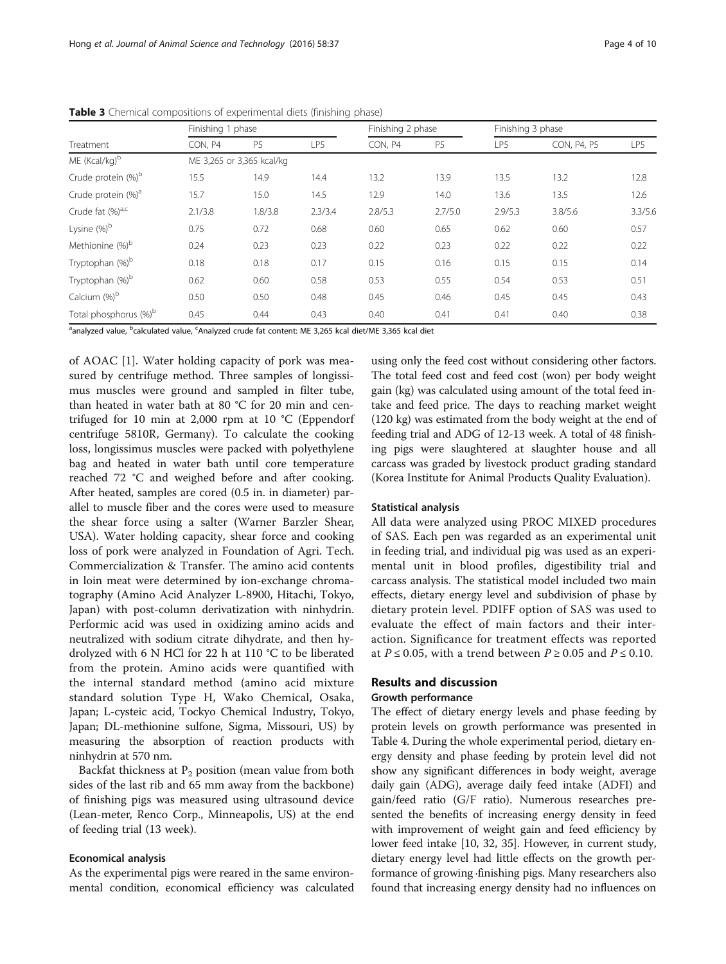|                                   | Finishing 1 phase |                           |         | Finishing 2 phase |                |         | Finishing 3 phase |         |  |
|-----------------------------------|-------------------|---------------------------|---------|-------------------|----------------|---------|-------------------|---------|--|
| Treatment                         | CON, P4           | P <sub>5</sub>            | LP5     | CON, P4           | P <sub>5</sub> | LP5     | CON, P4, P5       | LP5     |  |
| ME (Kcal/kg) <sup>b</sup>         |                   | ME 3,265 or 3,365 kcal/kg |         |                   |                |         |                   |         |  |
| Crude protein (%) <sup>b</sup>    | 15.5              | 14.9                      | 14.4    | 13.2              | 13.9           | 13.5    | 13.2              | 12.8    |  |
| Crude protein (%) <sup>a</sup>    | 15.7              | 15.0                      | 14.5    | 12.9              | 14.0           | 13.6    | 13.5              | 12.6    |  |
| Crude fat $(\%)^{a,c}$            | 2.1/3.8           | 1.8/3.8                   | 2.3/3.4 | 2.8/5.3           | 2.7/5.0        | 2.9/5.3 | 3.8/5.6           | 3.3/5.6 |  |
| Lysine $(\%)^b$                   | 0.75              | 0.72                      | 0.68    | 0.60              | 0.65           | 0.62    | 0.60              | 0.57    |  |
| Methionine (%) <sup>b</sup>       | 0.24              | 0.23                      | 0.23    | 0.22              | 0.23           | 0.22    | 0.22              | 0.22    |  |
| Tryptophan (%) <sup>b</sup>       | 0.18              | 0.18                      | 0.17    | 0.15              | 0.16           | 0.15    | 0.15              | 0.14    |  |
| Tryptophan (%) <sup>b</sup>       | 0.62              | 0.60                      | 0.58    | 0.53              | 0.55           | 0.54    | 0.53              | 0.51    |  |
| Calcium (%) <sup>b</sup>          | 0.50              | 0.50                      | 0.48    | 0.45              | 0.46           | 0.45    | 0.45              | 0.43    |  |
| Total phosphorus (%) <sup>b</sup> | 0.45              | 0.44                      | 0.43    | 0.40              | 0.41           | 0.41    | 0.40              | 0.38    |  |

<span id="page-3-0"></span>Table 3 Chemical compositions of experimental diets (finishing phase)

<sup>a</sup>analyzed value, <sup>b</sup>calculated value, <sup>c</sup>Analyzed crude fat content: ME 3,265 kcal diet/ME 3,365 kcal diet

of AOAC [\[1](#page-8-0)]. Water holding capacity of pork was measured by centrifuge method. Three samples of longissimus muscles were ground and sampled in filter tube, than heated in water bath at 80 °C for 20 min and centrifuged for 10 min at 2,000 rpm at 10 °C (Eppendorf centrifuge 5810R, Germany). To calculate the cooking loss, longissimus muscles were packed with polyethylene bag and heated in water bath until core temperature reached 72 °C and weighed before and after cooking. After heated, samples are cored (0.5 in. in diameter) parallel to muscle fiber and the cores were used to measure the shear force using a salter (Warner Barzler Shear, USA). Water holding capacity, shear force and cooking loss of pork were analyzed in Foundation of Agri. Tech. Commercialization & Transfer. The amino acid contents in loin meat were determined by ion-exchange chromatography (Amino Acid Analyzer L-8900, Hitachi, Tokyo, Japan) with post-column derivatization with ninhydrin. Performic acid was used in oxidizing amino acids and neutralized with sodium citrate dihydrate, and then hydrolyzed with 6 N HCl for 22 h at 110 °C to be liberated from the protein. Amino acids were quantified with the internal standard method (amino acid mixture standard solution Type H, Wako Chemical, Osaka, Japan; L-cysteic acid, Tockyo Chemical Industry, Tokyo, Japan; DL-methionine sulfone, Sigma, Missouri, US) by measuring the absorption of reaction products with ninhydrin at 570 nm.

Backfat thickness at  $P_2$  position (mean value from both sides of the last rib and 65 mm away from the backbone) of finishing pigs was measured using ultrasound device (Lean-meter, Renco Corp., Minneapolis, US) at the end of feeding trial (13 week).

#### Economical analysis

As the experimental pigs were reared in the same environmental condition, economical efficiency was calculated

using only the feed cost without considering other factors. The total feed cost and feed cost (won) per body weight gain (kg) was calculated using amount of the total feed intake and feed price. The days to reaching market weight (120 kg) was estimated from the body weight at the end of feeding trial and ADG of 12-13 week. A total of 48 finishing pigs were slaughtered at slaughter house and all carcass was graded by livestock product grading standard (Korea Institute for Animal Products Quality Evaluation).

## Statistical analysis

All data were analyzed using PROC MIXED procedures of SAS. Each pen was regarded as an experimental unit in feeding trial, and individual pig was used as an experimental unit in blood profiles, digestibility trial and carcass analysis. The statistical model included two main effects, dietary energy level and subdivision of phase by dietary protein level. PDIFF option of SAS was used to evaluate the effect of main factors and their interaction. Significance for treatment effects was reported at  $P \le 0.05$ , with a trend between  $P \ge 0.05$  and  $P \le 0.10$ .

# Results and discussion

# Growth performance

The effect of dietary energy levels and phase feeding by protein levels on growth performance was presented in Table [4.](#page-4-0) During the whole experimental period, dietary energy density and phase feeding by protein level did not show any significant differences in body weight, average daily gain (ADG), average daily feed intake (ADFI) and gain/feed ratio (G/F ratio). Numerous researches presented the benefits of increasing energy density in feed with improvement of weight gain and feed efficiency by lower feed intake [\[10, 32](#page-9-0), [35](#page-9-0)]. However, in current study, dietary energy level had little effects on the growth performance of growing ·finishing pigs. Many researchers also found that increasing energy density had no influences on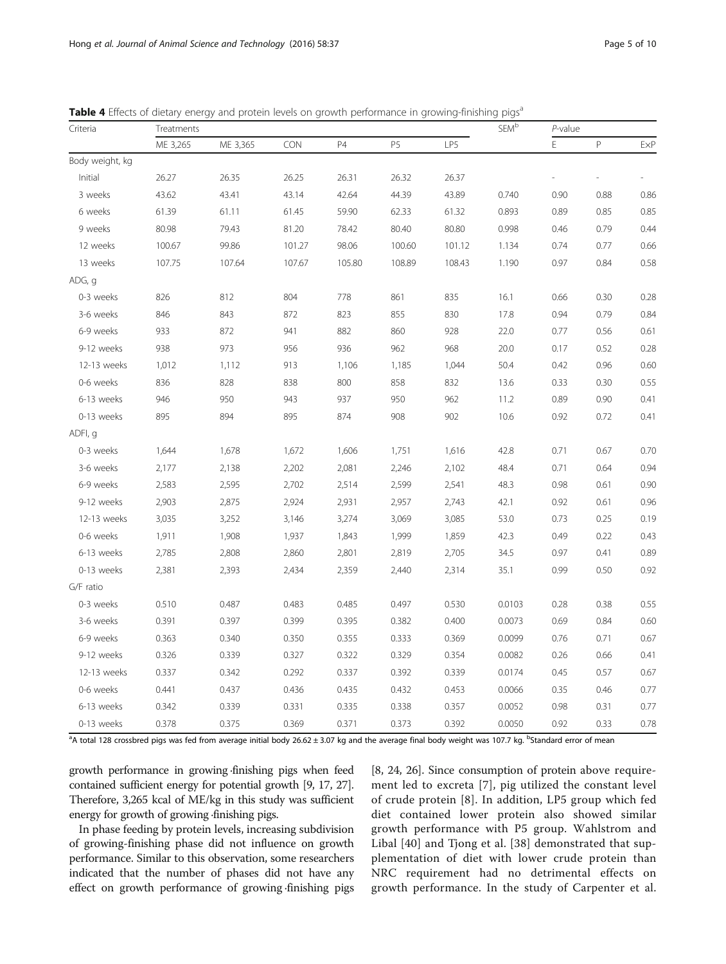| Criteria        | Treatments |          | $\ensuremath{\mathsf{SEM}}^\ensuremath{\mathsf{b}}$ | P-value |        |        |        |      |      |      |
|-----------------|------------|----------|-----------------------------------------------------|---------|--------|--------|--------|------|------|------|
|                 | ME 3,265   | ME 3,365 | <b>CON</b>                                          | P4      | P5     | LP5    |        | Е    | P    | ExP  |
| Body weight, kg |            |          |                                                     |         |        |        |        |      |      |      |
| Initial         | 26.27      | 26.35    | 26.25                                               | 26.31   | 26.32  | 26.37  |        |      |      |      |
| 3 weeks         | 43.62      | 43.41    | 43.14                                               | 42.64   | 44.39  | 43.89  | 0.740  | 0.90 | 0.88 | 0.86 |
| 6 weeks         | 61.39      | 61.11    | 61.45                                               | 59.90   | 62.33  | 61.32  | 0.893  | 0.89 | 0.85 | 0.85 |
| 9 weeks         | 80.98      | 79.43    | 81.20                                               | 78.42   | 80.40  | 80.80  | 0.998  | 0.46 | 0.79 | 0.44 |
| 12 weeks        | 100.67     | 99.86    | 101.27                                              | 98.06   | 100.60 | 101.12 | 1.134  | 0.74 | 0.77 | 0.66 |
| 13 weeks        | 107.75     | 107.64   | 107.67                                              | 105.80  | 108.89 | 108.43 | 1.190  | 0.97 | 0.84 | 0.58 |
| ADG, g          |            |          |                                                     |         |        |        |        |      |      |      |
| 0-3 weeks       | 826        | 812      | 804                                                 | 778     | 861    | 835    | 16.1   | 0.66 | 0.30 | 0.28 |
| 3-6 weeks       | 846        | 843      | 872                                                 | 823     | 855    | 830    | 17.8   | 0.94 | 0.79 | 0.84 |
| 6-9 weeks       | 933        | 872      | 941                                                 | 882     | 860    | 928    | 22.0   | 0.77 | 0.56 | 0.61 |
| 9-12 weeks      | 938        | 973      | 956                                                 | 936     | 962    | 968    | 20.0   | 0.17 | 0.52 | 0.28 |
| 12-13 weeks     | 1,012      | 1,112    | 913                                                 | 1,106   | 1,185  | 1,044  | 50.4   | 0.42 | 0.96 | 0.60 |
| 0-6 weeks       | 836        | 828      | 838                                                 | 800     | 858    | 832    | 13.6   | 0.33 | 0.30 | 0.55 |
| 6-13 weeks      | 946        | 950      | 943                                                 | 937     | 950    | 962    | 11.2   | 0.89 | 0.90 | 0.41 |
| 0-13 weeks      | 895        | 894      | 895                                                 | 874     | 908    | 902    | 10.6   | 0.92 | 0.72 | 0.41 |
| ADFI, q         |            |          |                                                     |         |        |        |        |      |      |      |
| 0-3 weeks       | 1,644      | 1,678    | 1,672                                               | 1,606   | 1,751  | 1,616  | 42.8   | 0.71 | 0.67 | 0.70 |
| 3-6 weeks       | 2,177      | 2,138    | 2,202                                               | 2,081   | 2,246  | 2,102  | 48.4   | 0.71 | 0.64 | 0.94 |
| 6-9 weeks       | 2,583      | 2,595    | 2,702                                               | 2,514   | 2,599  | 2,541  | 48.3   | 0.98 | 0.61 | 0.90 |
| 9-12 weeks      | 2,903      | 2,875    | 2,924                                               | 2,931   | 2,957  | 2,743  | 42.1   | 0.92 | 0.61 | 0.96 |
| 12-13 weeks     | 3,035      | 3,252    | 3,146                                               | 3,274   | 3,069  | 3,085  | 53.0   | 0.73 | 0.25 | 0.19 |
| 0-6 weeks       | 1,911      | 1,908    | 1,937                                               | 1,843   | 1,999  | 1,859  | 42.3   | 0.49 | 0.22 | 0.43 |
| 6-13 weeks      | 2,785      | 2,808    | 2,860                                               | 2,801   | 2,819  | 2,705  | 34.5   | 0.97 | 0.41 | 0.89 |
| 0-13 weeks      | 2,381      | 2,393    | 2,434                                               | 2,359   | 2,440  | 2,314  | 35.1   | 0.99 | 0.50 | 0.92 |
| G/F ratio       |            |          |                                                     |         |        |        |        |      |      |      |
| 0-3 weeks       | 0.510      | 0.487    | 0.483                                               | 0.485   | 0.497  | 0.530  | 0.0103 | 0.28 | 0.38 | 0.55 |
| 3-6 weeks       | 0.391      | 0.397    | 0.399                                               | 0.395   | 0.382  | 0.400  | 0.0073 | 0.69 | 0.84 | 0.60 |
| 6-9 weeks       | 0.363      | 0.340    | 0.350                                               | 0.355   | 0.333  | 0.369  | 0.0099 | 0.76 | 0.71 | 0.67 |
| 9-12 weeks      | 0.326      | 0.339    | 0.327                                               | 0.322   | 0.329  | 0.354  | 0.0082 | 0.26 | 0.66 | 0.41 |
| 12-13 weeks     | 0.337      | 0.342    | 0.292                                               | 0.337   | 0.392  | 0.339  | 0.0174 | 0.45 | 0.57 | 0.67 |
| 0-6 weeks       | 0.441      | 0.437    | 0.436                                               | 0.435   | 0.432  | 0.453  | 0.0066 | 0.35 | 0.46 | 0.77 |
| 6-13 weeks      | 0.342      | 0.339    | 0.331                                               | 0.335   | 0.338  | 0.357  | 0.0052 | 0.98 | 0.31 | 0.77 |
| 0-13 weeks      | 0.378      | 0.375    | 0.369                                               | 0.371   | 0.373  | 0.392  | 0.0050 | 0.92 | 0.33 | 0.78 |

<span id="page-4-0"></span>Table 4 Effects of dietary energy and protein levels on growth performance in growing-finishing pigs<sup>a</sup>

<sup>a</sup>A total 128 crossbred pigs was fed from average initial body 26.62 ± 3.07 kg and the average final body weight was 107.7 kg. <sup>b</sup>Standard error of mean

growth performance in growing ·finishing pigs when feed contained sufficient energy for potential growth [[9](#page-9-0), [17, 27](#page-9-0)]. Therefore, 3,265 kcal of ME/kg in this study was sufficient energy for growth of growing ·finishing pigs.

In phase feeding by protein levels, increasing subdivision of growing-finishing phase did not influence on growth performance. Similar to this observation, some researchers indicated that the number of phases did not have any effect on growth performance of growing ·finishing pigs

[[8, 24, 26\]](#page-9-0). Since consumption of protein above requirement led to excreta [[7](#page-9-0)], pig utilized the constant level of crude protein [\[8](#page-9-0)]. In addition, LP5 group which fed diet contained lower protein also showed similar growth performance with P5 group. Wahlstrom and Libal [\[40](#page-9-0)] and Tjong et al. [[38](#page-9-0)] demonstrated that supplementation of diet with lower crude protein than NRC requirement had no detrimental effects on growth performance. In the study of Carpenter et al.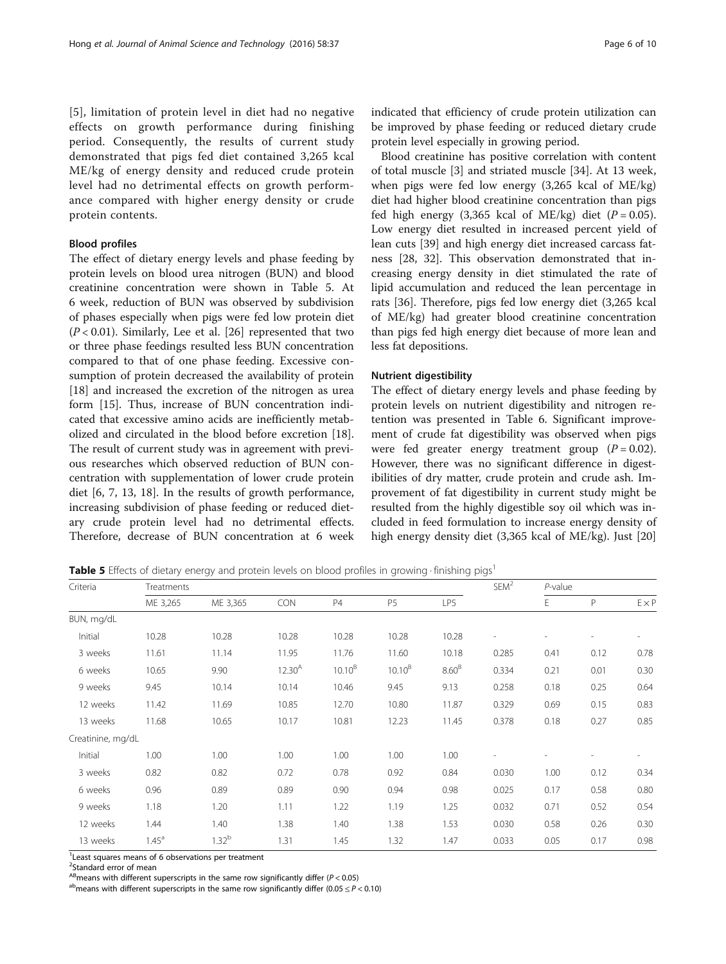[[5](#page-9-0)], limitation of protein level in diet had no negative effects on growth performance during finishing period. Consequently, the results of current study demonstrated that pigs fed diet contained 3,265 kcal ME/kg of energy density and reduced crude protein level had no detrimental effects on growth performance compared with higher energy density or crude protein contents.

## Blood profiles

The effect of dietary energy levels and phase feeding by protein levels on blood urea nitrogen (BUN) and blood creatinine concentration were shown in Table 5. At 6 week, reduction of BUN was observed by subdivision of phases especially when pigs were fed low protein diet  $(P < 0.01)$ . Similarly, Lee et al. [\[26](#page-9-0)] represented that two or three phase feedings resulted less BUN concentration compared to that of one phase feeding. Excessive consumption of protein decreased the availability of protein [[18\]](#page-9-0) and increased the excretion of the nitrogen as urea form [[15\]](#page-9-0). Thus, increase of BUN concentration indicated that excessive amino acids are inefficiently metabolized and circulated in the blood before excretion [\[18](#page-9-0)]. The result of current study was in agreement with previous researches which observed reduction of BUN concentration with supplementation of lower crude protein diet [[6, 7](#page-9-0), [13, 18](#page-9-0)]. In the results of growth performance, increasing subdivision of phase feeding or reduced dietary crude protein level had no detrimental effects. Therefore, decrease of BUN concentration at 6 week

indicated that efficiency of crude protein utilization can be improved by phase feeding or reduced dietary crude protein level especially in growing period.

Blood creatinine has positive correlation with content of total muscle [[3\]](#page-8-0) and striated muscle [[34\]](#page-9-0). At 13 week, when pigs were fed low energy (3,265 kcal of ME/kg) diet had higher blood creatinine concentration than pigs fed high energy  $(3,365 \text{ kcal of ME/kg})$  diet  $(P = 0.05)$ . Low energy diet resulted in increased percent yield of lean cuts [[39](#page-9-0)] and high energy diet increased carcass fatness [[28](#page-9-0), [32\]](#page-9-0). This observation demonstrated that increasing energy density in diet stimulated the rate of lipid accumulation and reduced the lean percentage in rats [\[36](#page-9-0)]. Therefore, pigs fed low energy diet (3,265 kcal of ME/kg) had greater blood creatinine concentration than pigs fed high energy diet because of more lean and less fat depositions.

#### Nutrient digestibility

The effect of dietary energy levels and phase feeding by protein levels on nutrient digestibility and nitrogen retention was presented in Table [6.](#page-6-0) Significant improvement of crude fat digestibility was observed when pigs were fed greater energy treatment group  $(P = 0.02)$ . However, there was no significant difference in digestibilities of dry matter, crude protein and crude ash. Improvement of fat digestibility in current study might be resulted from the highly digestible soy oil which was included in feed formulation to increase energy density of high energy density diet (3,365 kcal of ME/kg). Just [[20](#page-9-0)]

**Table 5** Effects of dietary energy and protein levels on blood profiles in growing · finishing pigs<sup>1</sup>

| Criteria          | Treatments     |            |             |             |                    |                   |                          |      | $P$ -value |              |  |
|-------------------|----------------|------------|-------------|-------------|--------------------|-------------------|--------------------------|------|------------|--------------|--|
|                   | ME 3,265       | ME 3,365   | CON         | <b>P4</b>   | <b>P5</b>          | LP5               |                          | E    | P          | $E \times P$ |  |
| BUN, mg/dL        |                |            |             |             |                    |                   |                          |      |            |              |  |
| Initial           | 10.28          | 10.28      | 10.28       | 10.28       | 10.28              | 10.28             | $\overline{\phantom{a}}$ |      |            | ۰            |  |
| 3 weeks           | 11.61          | 11.14      | 11.95       | 11.76       | 11.60              | 10.18             | 0.285                    | 0.41 | 0.12       | 0.78         |  |
| 6 weeks           | 10.65          | 9.90       | $12.30^{A}$ | $10.10^{B}$ | 10.10 <sup>B</sup> | 8.60 <sup>B</sup> | 0.334                    | 0.21 | 0.01       | 0.30         |  |
| 9 weeks           | 9.45           | 10.14      | 10.14       | 10.46       | 9.45               | 9.13              | 0.258                    | 0.18 | 0.25       | 0.64         |  |
| 12 weeks          | 11.42          | 11.69      | 10.85       | 12.70       | 10.80              | 11.87             | 0.329                    | 0.69 | 0.15       | 0.83         |  |
| 13 weeks          | 11.68          | 10.65      | 10.17       | 10.81       | 12.23              | 11.45             | 0.378                    | 0.18 | 0.27       | 0.85         |  |
| Creatinine, mg/dL |                |            |             |             |                    |                   |                          |      |            |              |  |
| Initial           | 1.00           | 1.00       | 1.00        | 1.00        | 1.00               | 1.00              |                          |      |            |              |  |
| 3 weeks           | 0.82           | 0.82       | 0.72        | 0.78        | 0.92               | 0.84              | 0.030                    | 1.00 | 0.12       | 0.34         |  |
| 6 weeks           | 0.96           | 0.89       | 0.89        | 0.90        | 0.94               | 0.98              | 0.025                    | 0.17 | 0.58       | 0.80         |  |
| 9 weeks           | 1.18           | 1.20       | 1.11        | 1.22        | 1.19               | 1.25              | 0.032                    | 0.71 | 0.52       | 0.54         |  |
| 12 weeks          | 1.44           | 1.40       | 1.38        | 1.40        | 1.38               | 1.53              | 0.030                    | 0.58 | 0.26       | 0.30         |  |
| 13 weeks          | $1.45^{\circ}$ | $1.32^{b}$ | 1.31        | 1.45        | 1.32               | 1.47              | 0.033                    | 0.05 | 0.17       | 0.98         |  |

<sup>1</sup> Least squares means of 6 observations per treatment

<sup>AB</sup>means with different superscripts in the same row significantly differ (P < 0.05) a<sup>b</sup>means with different superscripts in the same row significantly differ (0.05 ≤ P < 0.10)

<sup>&</sup>lt;sup>2</sup>Standard error of mean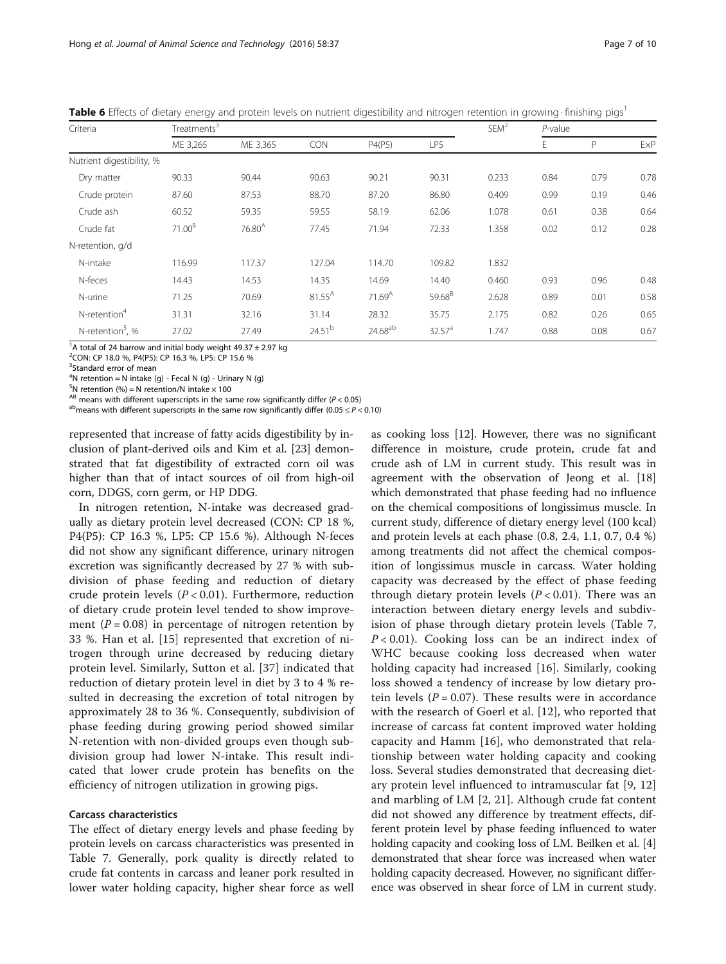<span id="page-6-0"></span>Table 6 Effects of dietary energy and protein levels on nutrient digestibility and nitrogen retention in growing · finishing pigs<sup>1</sup>

| Criteria                     | Treatments <sup>3</sup> |             |                    |                    |                    | SEM <sup>2</sup> | $P$ -value |      |      |
|------------------------------|-------------------------|-------------|--------------------|--------------------|--------------------|------------------|------------|------|------|
|                              | ME 3,265                | ME 3,365    | CON                | P4(P5)             | LP5                |                  | Ε          | P    | ExP  |
| Nutrient digestibility, %    |                         |             |                    |                    |                    |                  |            |      |      |
| Dry matter                   | 90.33                   | 90.44       | 90.63              | 90.21              | 90.31              | 0.233            | 0.84       | 0.79 | 0.78 |
| Crude protein                | 87.60                   | 87.53       | 88.70              | 87.20              | 86.80              | 0.409            | 0.99       | 0.19 | 0.46 |
| Crude ash                    | 60.52                   | 59.35       | 59.55              | 58.19              | 62.06              | 1.078            | 0.61       | 0.38 | 0.64 |
| Crude fat                    | 71.00 <sup>B</sup>      | $76.80^{A}$ | 77.45              | 71.94              | 72.33              | 1.358            | 0.02       | 0.12 | 0.28 |
| N-retention, g/d             |                         |             |                    |                    |                    |                  |            |      |      |
| N-intake                     | 116.99                  | 117.37      | 127.04             | 114.70             | 109.82             | 1.832            |            |      |      |
| N-feces                      | 14.43                   | 14.53       | 14.35              | 14.69              | 14.40              | 0.460            | 0.93       | 0.96 | 0.48 |
| N-urine                      | 71.25                   | 70.69       | 81.55 <sup>A</sup> | 71.69 <sup>A</sup> | 59.68 <sup>B</sup> | 2.628            | 0.89       | 0.01 | 0.58 |
| N-retention <sup>4</sup>     | 31.31                   | 32.16       | 31.14              | 28.32              | 35.75              | 2.175            | 0.82       | 0.26 | 0.65 |
| N-retention <sup>5</sup> , % | 27.02                   | 27.49       | 24.51 <sup>b</sup> | $24.68^{ab}$       | 32.57 <sup>a</sup> | 1.747            | 0.88       | 0.08 | 0.67 |

<sup>1</sup>A total of 24 barrow and initial body weight  $49.37 \pm 2.97$  kg

2 CON: CP 18.0 %, P4(P5): CP 16.3 %, LP5: CP 15.6 %

<sup>3</sup>Standard error of mean

 $4N$  retention = N intake (g) - Fecal N (g) - Urinary N (g)

 $5$ N retention (%) = N retention/N intake  $\times$  100

<sup>AB</sup> means with different superscripts in the same row significantly differ (P < 0.05) <sup>ab</sup>means with different superscripts in the same row significantly differ (0.05 ≤ P < 0.10)

represented that increase of fatty acids digestibility by inclusion of plant-derived oils and Kim et al. [\[23\]](#page-9-0) demonstrated that fat digestibility of extracted corn oil was higher than that of intact sources of oil from high-oil corn, DDGS, corn germ, or HP DDG.

In nitrogen retention, N-intake was decreased gradually as dietary protein level decreased (CON: CP 18 %, P4(P5): CP 16.3 %, LP5: CP 15.6 %). Although N-feces did not show any significant difference, urinary nitrogen excretion was significantly decreased by 27 % with subdivision of phase feeding and reduction of dietary crude protein levels ( $P < 0.01$ ). Furthermore, reduction of dietary crude protein level tended to show improvement ( $P = 0.08$ ) in percentage of nitrogen retention by 33 %. Han et al. [\[15\]](#page-9-0) represented that excretion of nitrogen through urine decreased by reducing dietary protein level. Similarly, Sutton et al. [[37\]](#page-9-0) indicated that reduction of dietary protein level in diet by 3 to 4 % resulted in decreasing the excretion of total nitrogen by approximately 28 to 36 %. Consequently, subdivision of phase feeding during growing period showed similar N-retention with non-divided groups even though subdivision group had lower N-intake. This result indicated that lower crude protein has benefits on the efficiency of nitrogen utilization in growing pigs.

#### Carcass characteristics

The effect of dietary energy levels and phase feeding by protein levels on carcass characteristics was presented in Table [7](#page-7-0). Generally, pork quality is directly related to crude fat contents in carcass and leaner pork resulted in lower water holding capacity, higher shear force as well as cooking loss [\[12\]](#page-9-0). However, there was no significant difference in moisture, crude protein, crude fat and crude ash of LM in current study. This result was in agreement with the observation of Jeong et al. [[18](#page-9-0)] which demonstrated that phase feeding had no influence on the chemical compositions of longissimus muscle. In current study, difference of dietary energy level (100 kcal) and protein levels at each phase (0.8, 2.4, 1.1, 0.7, 0.4 %) among treatments did not affect the chemical composition of longissimus muscle in carcass. Water holding capacity was decreased by the effect of phase feeding through dietary protein levels  $(P < 0.01)$ . There was an interaction between dietary energy levels and subdivision of phase through dietary protein levels (Table [7](#page-7-0),  $P < 0.01$ ). Cooking loss can be an indirect index of WHC because cooking loss decreased when water holding capacity had increased [\[16](#page-9-0)]. Similarly, cooking loss showed a tendency of increase by low dietary protein levels  $(P = 0.07)$ . These results were in accordance with the research of Goerl et al. [\[12](#page-9-0)], who reported that increase of carcass fat content improved water holding capacity and Hamm [\[16](#page-9-0)], who demonstrated that relationship between water holding capacity and cooking loss. Several studies demonstrated that decreasing dietary protein level influenced to intramuscular fat [[9, 12](#page-9-0)] and marbling of LM [[2,](#page-8-0) [21\]](#page-9-0). Although crude fat content did not showed any difference by treatment effects, different protein level by phase feeding influenced to water holding capacity and cooking loss of LM. Beilken et al. [[4](#page-8-0)] demonstrated that shear force was increased when water holding capacity decreased. However, no significant difference was observed in shear force of LM in current study.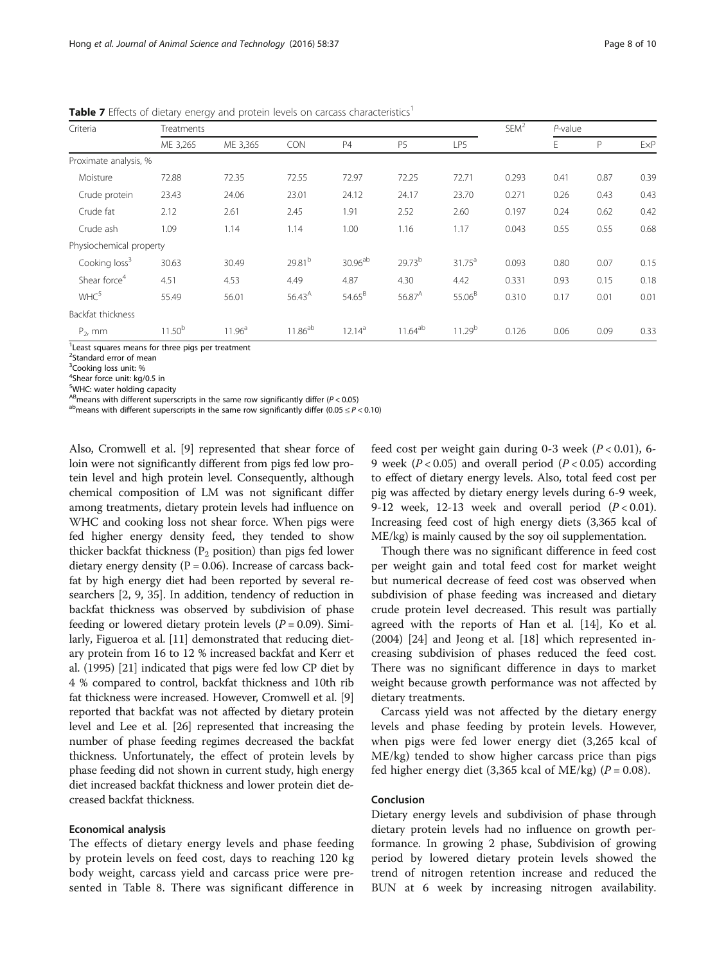| Criteria                  | Treatments         |                    |                    |                     |                    |                    | SEM <sup>2</sup> | $P$ -value |      |      |
|---------------------------|--------------------|--------------------|--------------------|---------------------|--------------------|--------------------|------------------|------------|------|------|
|                           | ME 3,265           | ME 3,365           | <b>CON</b>         | P4                  | <b>P5</b>          | LP5                |                  | E          | P    | ExP  |
| Proximate analysis, %     |                    |                    |                    |                     |                    |                    |                  |            |      |      |
| Moisture                  | 72.88              | 72.35              | 72.55              | 72.97               | 72.25              | 72.71              | 0.293            | 0.41       | 0.87 | 0.39 |
| Crude protein             | 23.43              | 24.06              | 23.01              | 24.12               | 24.17              | 23.70              | 0.271            | 0.26       | 0.43 | 0.43 |
| Crude fat                 | 2.12               | 2.61               | 2.45               | 1.91                | 2.52               | 2.60               | 0.197            | 0.24       | 0.62 | 0.42 |
| Crude ash                 | 1.09               | 1.14               | 1.14               | 1.00                | 1.16               | 1.17               | 0.043            | 0.55       | 0.55 | 0.68 |
| Physiochemical property   |                    |                    |                    |                     |                    |                    |                  |            |      |      |
| Cooking loss <sup>3</sup> | 30.63              | 30.49              | 29.81 <sup>b</sup> | 30.96 <sup>ab</sup> | 29.73 <sup>b</sup> | $31.75^a$          | 0.093            | 0.80       | 0.07 | 0.15 |
| Shear force <sup>4</sup>  | 4.51               | 4.53               | 4.49               | 4.87                | 4.30               | 4.42               | 0.331            | 0.93       | 0.15 | 0.18 |
| WHC <sup>5</sup>          | 55.49              | 56.01              | $56.43^{A}$        | $54.65^{B}$         | $56.87^{A}$        | 55.06 <sup>B</sup> | 0.310            | 0.17       | 0.01 | 0.01 |
| Backfat thickness         |                    |                    |                    |                     |                    |                    |                  |            |      |      |
| $P2$ , mm                 | 11.50 <sup>b</sup> | 11.96 <sup>a</sup> | $11.86^{ab}$       | 12.14 <sup>a</sup>  | $11.64^{ab}$       | 11.29 <sup>b</sup> | 0.126            | 0.06       | 0.09 | 0.33 |

<span id="page-7-0"></span>**Table 7** Effects of dietary energy and protein levels on carcass characteristics<sup>1</sup>

<sup>1</sup> Least squares means for three pigs per treatment

<sup>2</sup>Standard error of mean

<sup>3</sup>Cooking loss unit: %

4 Shear force unit: kg/0.5 in

<sup>5</sup>WHC: water holding capacity

<sup>AB</sup>means with different superscripts in the same row significantly differ (P < 0.05) a<sup>b</sup>means with different superscripts in the same row significantly differ (0.05 ≤ P < 0.10)

Also, Cromwell et al. [\[9](#page-9-0)] represented that shear force of loin were not significantly different from pigs fed low protein level and high protein level. Consequently, although chemical composition of LM was not significant differ among treatments, dietary protein levels had influence on WHC and cooking loss not shear force. When pigs were fed higher energy density feed, they tended to show thicker backfat thickness ( $P_2$  position) than pigs fed lower dietary energy density ( $P = 0.06$ ). Increase of carcass backfat by high energy diet had been reported by several researchers [\[2](#page-8-0), [9](#page-9-0), [35\]](#page-9-0). In addition, tendency of reduction in backfat thickness was observed by subdivision of phase feeding or lowered dietary protein levels ( $P = 0.09$ ). Similarly, Figueroa et al. [[11](#page-9-0)] demonstrated that reducing dietary protein from 16 to 12 % increased backfat and Kerr et al. (1995) [\[21\]](#page-9-0) indicated that pigs were fed low CP diet by 4 % compared to control, backfat thickness and 10th rib fat thickness were increased. However, Cromwell et al. [[9](#page-9-0)] reported that backfat was not affected by dietary protein level and Lee et al. [[26](#page-9-0)] represented that increasing the number of phase feeding regimes decreased the backfat thickness. Unfortunately, the effect of protein levels by phase feeding did not shown in current study, high energy diet increased backfat thickness and lower protein diet decreased backfat thickness.

## Economical analysis

The effects of dietary energy levels and phase feeding by protein levels on feed cost, days to reaching 120 kg body weight, carcass yield and carcass price were presented in Table [8](#page-8-0). There was significant difference in

feed cost per weight gain during 0-3 week ( $P < 0.01$ ), 6-9 week ( $P < 0.05$ ) and overall period ( $P < 0.05$ ) according to effect of dietary energy levels. Also, total feed cost per pig was affected by dietary energy levels during 6-9 week, 9-12 week, 12-13 week and overall period  $(P < 0.01)$ . Increasing feed cost of high energy diets (3,365 kcal of ME/kg) is mainly caused by the soy oil supplementation.

Though there was no significant difference in feed cost per weight gain and total feed cost for market weight but numerical decrease of feed cost was observed when subdivision of phase feeding was increased and dietary crude protein level decreased. This result was partially agreed with the reports of Han et al. [\[14\]](#page-9-0), Ko et al. (2004) [[24\]](#page-9-0) and Jeong et al. [\[18](#page-9-0)] which represented increasing subdivision of phases reduced the feed cost. There was no significant difference in days to market weight because growth performance was not affected by dietary treatments.

Carcass yield was not affected by the dietary energy levels and phase feeding by protein levels. However, when pigs were fed lower energy diet (3,265 kcal of ME/kg) tended to show higher carcass price than pigs fed higher energy diet (3,365 kcal of ME/kg) ( $P = 0.08$ ).

## Conclusion

Dietary energy levels and subdivision of phase through dietary protein levels had no influence on growth performance. In growing 2 phase, Subdivision of growing period by lowered dietary protein levels showed the trend of nitrogen retention increase and reduced the BUN at 6 week by increasing nitrogen availability.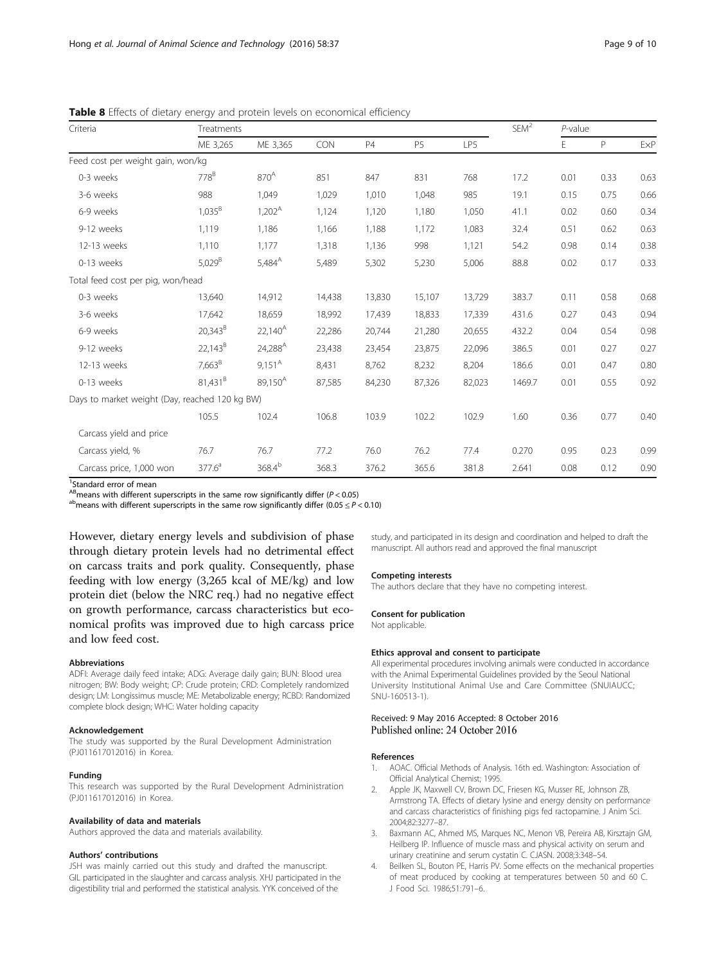| Criteria                                       | Treatments   |                     |        |           |           |        |        | $P$ -value |      |                             |
|------------------------------------------------|--------------|---------------------|--------|-----------|-----------|--------|--------|------------|------|-----------------------------|
|                                                | ME 3,265     | ME 3,365            | CON    | <b>P4</b> | <b>P5</b> | LP5    |        | E          | P    | $\ensuremath{\mathsf{ExP}}$ |
| Feed cost per weight gain, won/kg              |              |                     |        |           |           |        |        |            |      |                             |
| 0-3 weeks                                      | $778^B$      | 870 <sup>A</sup>    | 851    | 847       | 831       | 768    | 17.2   | 0.01       | 0.33 | 0.63                        |
| 3-6 weeks                                      | 988          | 1,049               | 1,029  | 1,010     | 1,048     | 985    | 19.1   | 0.15       | 0.75 | 0.66                        |
| 6-9 weeks                                      | $1,035^B$    | $1,202^A$           | 1,124  | 1,120     | 1,180     | 1,050  | 41.1   | 0.02       | 0.60 | 0.34                        |
| 9-12 weeks                                     | 1,119        | 1,186               | 1,166  | 1,188     | 1,172     | 1,083  | 32.4   | 0.51       | 0.62 | 0.63                        |
| 12-13 weeks                                    | 1,110        | 1,177               | 1,318  | 1,136     | 998       | 1,121  | 54.2   | 0.98       | 0.14 | 0.38                        |
| 0-13 weeks                                     | $5,029^{B}$  | $5,484^{A}$         | 5,489  | 5,302     | 5,230     | 5,006  | 88.8   | 0.02       | 0.17 | 0.33                        |
| Total feed cost per pig, won/head              |              |                     |        |           |           |        |        |            |      |                             |
| 0-3 weeks                                      | 13,640       | 14,912              | 14,438 | 13,830    | 15,107    | 13,729 | 383.7  | 0.11       | 0.58 | 0.68                        |
| 3-6 weeks                                      | 17,642       | 18,659              | 18,992 | 17,439    | 18,833    | 17,339 | 431.6  | 0.27       | 0.43 | 0.94                        |
| 6-9 weeks                                      | $20,343^{B}$ | $22,140^A$          | 22,286 | 20,744    | 21,280    | 20,655 | 432.2  | 0.04       | 0.54 | 0.98                        |
| 9-12 weeks                                     | $22,143^B$   | 24,288 <sup>A</sup> | 23,438 | 23,454    | 23,875    | 22,096 | 386.5  | 0.01       | 0.27 | 0.27                        |
| 12-13 weeks                                    | $7,663^B$    | $9,151^{\text{A}}$  | 8,431  | 8,762     | 8,232     | 8,204  | 186.6  | 0.01       | 0.47 | 0.80                        |
| 0-13 weeks                                     | $81,431^{B}$ | 89,150 <sup>A</sup> | 87,585 | 84,230    | 87,326    | 82,023 | 1469.7 | 0.01       | 0.55 | 0.92                        |
| Days to market weight (Day, reached 120 kg BW) |              |                     |        |           |           |        |        |            |      |                             |
|                                                | 105.5        | 102.4               | 106.8  | 103.9     | 102.2     | 102.9  | 1.60   | 0.36       | 0.77 | 0.40                        |
| Carcass yield and price                        |              |                     |        |           |           |        |        |            |      |                             |
| Carcass yield, %                               | 76.7         | 76.7                | 77.2   | 76.0      | 76.2      | 77.4   | 0.270  | 0.95       | 0.23 | 0.99                        |
| Carcass price, 1,000 won                       | $377.6^a$    | $368.4^{b}$         | 368.3  | 376.2     | 365.6     | 381.8  | 2.641  | 0.08       | 0.12 | 0.90                        |

<span id="page-8-0"></span>Table 8 Effects of dietary energy and protein levels on economical efficiency

<sup>1</sup>Standard error of mean

<sup>AB</sup>means with different superscripts in the same row significantly differ (P < 0.05) a<sup>b</sup>means with different superscripts in the same row significantly differ (0.05 ≤ P < 0.10)

However, dietary energy levels and subdivision of phase through dietary protein levels had no detrimental effect on carcass traits and pork quality. Consequently, phase feeding with low energy (3,265 kcal of ME/kg) and low protein diet (below the NRC req.) had no negative effect on growth performance, carcass characteristics but economical profits was improved due to high carcass price and low feed cost.

#### Abbreviations

ADFI: Average daily feed intake; ADG: Average daily gain; BUN: Blood urea nitrogen; BW: Body weight; CP: Crude protein; CRD: Completely randomized design; LM: Longissimus muscle; ME: Metabolizable energy; RCBD: Randomized complete block design; WHC: Water holding capacity

#### Acknowledgement

The study was supported by the Rural Development Administration (PJ011617012016) in Korea.

#### Funding

This research was supported by the Rural Development Administration (PJ011617012016) in Korea.

#### Availability of data and materials

Authors approved the data and materials availability.

#### Authors' contributions

JSH was mainly carried out this study and drafted the manuscript. GIL participated in the slaughter and carcass analysis. XHJ participated in the digestibility trial and performed the statistical analysis. YYK conceived of the

study, and participated in its design and coordination and helped to draft the manuscript. All authors read and approved the final manuscript

#### Competing interests

The authors declare that they have no competing interest.

#### Consent for publication

Not applicable.

#### Ethics approval and consent to participate

All experimental procedures involving animals were conducted in accordance with the Animal Experimental Guidelines provided by the Seoul National University Institutional Animal Use and Care Committee (SNUIAUCC; SNU-160513-1).

#### Received: 9 May 2016 Accepted: 8 October 2016 Published online: 24 October 2016

#### References

- 1. AOAC. Official Methods of Analysis. 16th ed. Washington: Association of Official Analytical Chemist; 1995.
- 2. Apple JK, Maxwell CV, Brown DC, Friesen KG, Musser RE, Johnson ZB, Armstrong TA. Effects of dietary lysine and energy density on performance and carcass characteristics of finishing pigs fed ractopamine. J Anim Sci. 2004;82:3277–87.
- 3. Baxmann AC, Ahmed MS, Marques NC, Menon VB, Pereira AB, Kirsztajn GM, Heilberg IP. Influence of muscle mass and physical activity on serum and urinary creatinine and serum cystatin C. CJASN. 2008;3:348–54.
- 4. Beilken SL, Bouton PE, Harris PV. Some effects on the mechanical properties of meat produced by cooking at temperatures between 50 and 60 C. J Food Sci. 1986;51:791–6.